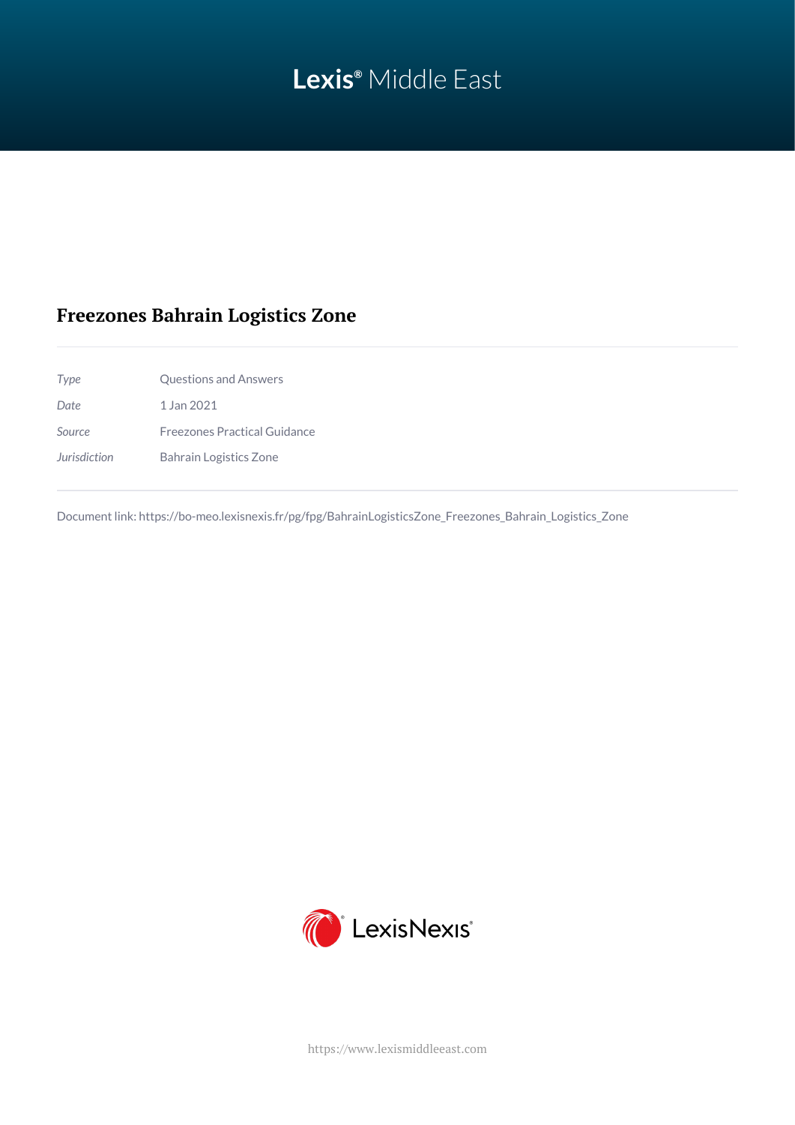# **Lexis®** Middle East

## **Freezones Bahrain Logistics Zone**

*Type* Questions and Answers *Date* 1 Jan 2021 *Source* Freezones Practical Guidance *Jurisdiction* Bahrain Logistics Zone

Document link: [https://bo-meo.lexisnexis.fr/pg/fpg/BahrainLogisticsZone\\_Freezones\\_Bahrain\\_Logistics\\_Zone](https://bo-meo.lexisnexis.fr/pg/fpg/BahrainLogisticsZone_Freezones_Bahrain_Logistics_Zone)



<https://www.lexismiddleeast.com>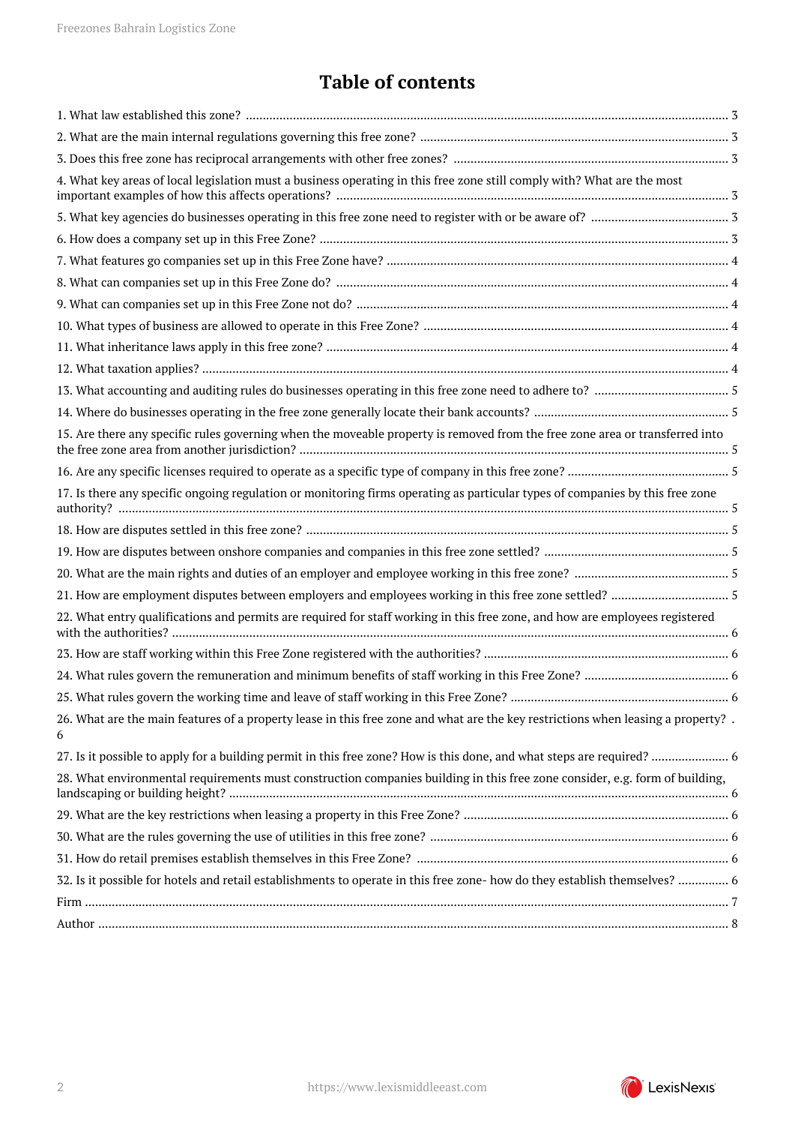# **Table of contents**

| 4. What key areas of local legislation must a business operating in this free zone still comply with? What are the most                |
|----------------------------------------------------------------------------------------------------------------------------------------|
|                                                                                                                                        |
|                                                                                                                                        |
|                                                                                                                                        |
|                                                                                                                                        |
|                                                                                                                                        |
|                                                                                                                                        |
|                                                                                                                                        |
|                                                                                                                                        |
|                                                                                                                                        |
|                                                                                                                                        |
| 15. Are there any specific rules governing when the moveable property is removed from the free zone area or transferred into           |
|                                                                                                                                        |
| 17. Is there any specific ongoing regulation or monitoring firms operating as particular types of companies by this free zone          |
|                                                                                                                                        |
|                                                                                                                                        |
|                                                                                                                                        |
|                                                                                                                                        |
| 22. What entry qualifications and permits are required for staff working in this free zone, and how are employees registered           |
|                                                                                                                                        |
|                                                                                                                                        |
|                                                                                                                                        |
| 26. What are the main features of a property lease in this free zone and what are the key restrictions when leasing a property? .<br>6 |
|                                                                                                                                        |
| 28. What environmental requirements must construction companies building in this free zone consider, e.g. form of building,            |
|                                                                                                                                        |
|                                                                                                                                        |
|                                                                                                                                        |
| 32. Is it possible for hotels and retail establishments to operate in this free zone- how do they establish themselves?  6             |
|                                                                                                                                        |
|                                                                                                                                        |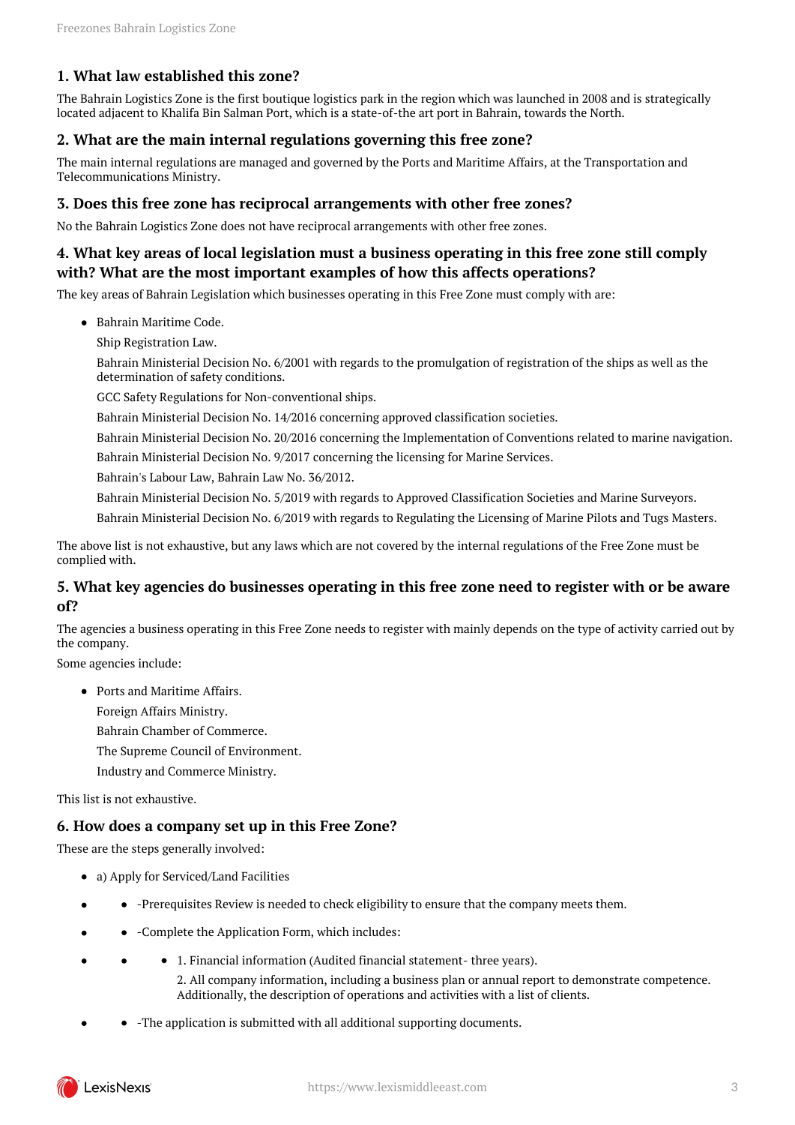#### <span id="page-2-0"></span>**1. What law established this zone?**

The Bahrain Logistics Zone is the first boutique logistics park in the region which was launched in 2008 and is strategically located adjacent to Khalifa Bin Salman Port, which is a state-of-the art port in Bahrain, towards the North.

#### <span id="page-2-1"></span>**2. What are the main internal regulations governing this free zone?**

The main internal regulations are managed and governed by the Ports and Maritime Affairs, at the Transportation and Telecommunications Ministry.

#### <span id="page-2-2"></span>**3. Does this free zone has reciprocal arrangements with other free zones?**

No the Bahrain Logistics Zone does not have reciprocal arrangements with other free zones.

#### <span id="page-2-3"></span>**4. What key areas of local legislation must a business operating in this free zone still comply with? What are the most important examples of how this affects operations?**

The key areas of Bahrain Legislation which businesses operating in this Free Zone must comply with are:

- Bahrain Maritime Code.
	- Ship Registration Law.

Bahrain Ministerial Decision No. 6/2001 with regards to the promulgation of registration of the ships as well as the determination of safety conditions.

GCC Safety Regulations for Non-conventional ships.

Bahrain Ministerial Decision No. 14/2016 concerning approved classification societies.

Bahrain Ministerial Decision No. 20/2016 concerning the Implementation of Conventions related to marine navigation. Bahrain Ministerial Decision No. 9/2017 concerning the licensing for Marine Services.

Bahrain's Labour Law, Bahrain Law No. 36/2012.

Bahrain Ministerial Decision No. 5/2019 with regards to Approved Classification Societies and Marine Surveyors.

Bahrain Ministerial Decision No. 6/2019 with regards to Regulating the Licensing of Marine Pilots and Tugs Masters.

The above list is not exhaustive, but any laws which are not covered by the internal regulations of the Free Zone must be complied with.

#### <span id="page-2-4"></span>**5. What key agencies do businesses operating in this free zone need to register with or be aware of?**

The agencies a business operating in this Free Zone needs to register with mainly depends on the type of activity carried out by the company.

Some agencies include:

Ports and Maritime Affairs. Foreign Affairs Ministry. Bahrain Chamber of Commerce.

The Supreme Council of Environment.

Industry and Commerce Ministry.

This list is not exhaustive.

#### <span id="page-2-5"></span>**6. How does a company set up in this Free Zone?**

These are the steps generally involved:

- a) Apply for Serviced/Land Facilities
- -Prerequisites Review is needed to check eligibility to ensure that the company meets them.
- -Complete the Application Form, which includes:  $\bullet$
- 1. Financial information (Audited financial statement- three years).

2. All company information, including a business plan or annual report to demonstrate competence. Additionally, the description of operations and activities with a list of clients.

-The application is submitted with all additional supporting documents.

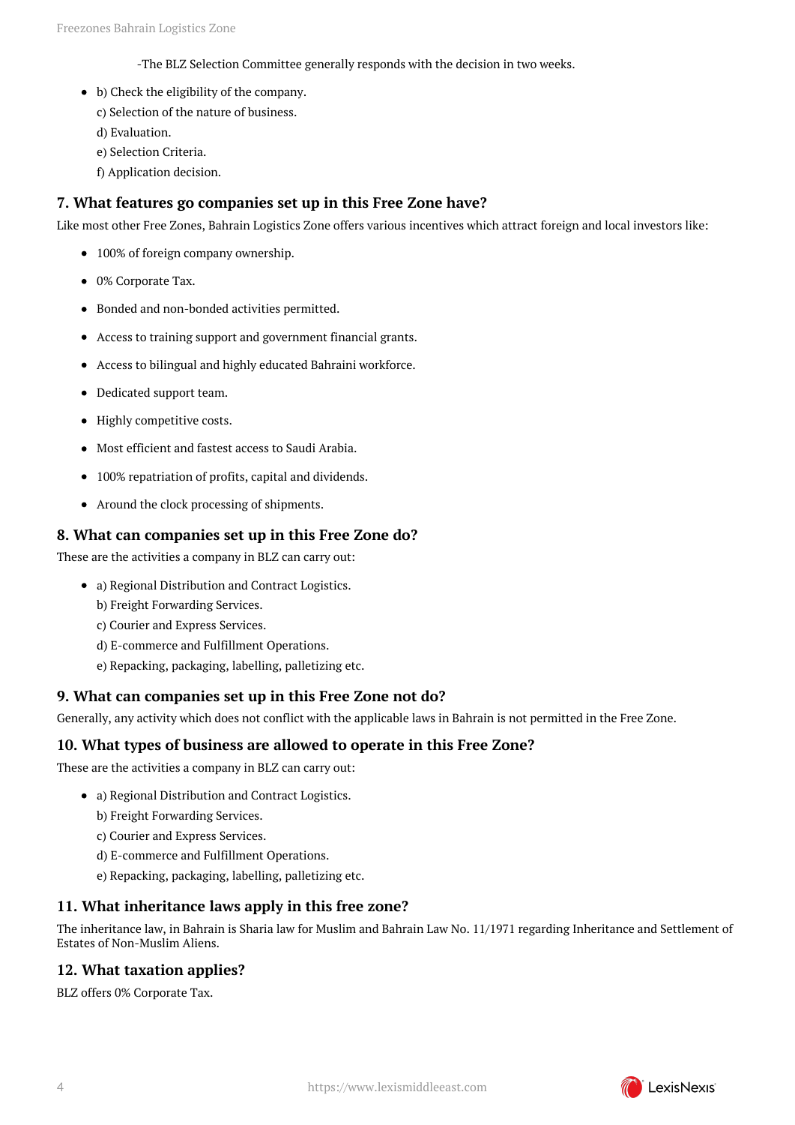-The BLZ Selection Committee generally responds with the decision in two weeks.

- b) Check the eligibility of the company.
	- c) Selection of the nature of business.
	- d) Evaluation.
	- e) Selection Criteria.
	- f) Application decision.

#### <span id="page-3-0"></span>**7. What features go companies set up in this Free Zone have?**

Like most other Free Zones, Bahrain Logistics Zone offers various incentives which attract foreign and local investors like:

- 100% of foreign company ownership.
- 0% Corporate Tax.
- Bonded and non-bonded activities permitted.
- Access to training support and government financial grants.
- Access to bilingual and highly educated Bahraini workforce.
- Dedicated support team.
- Highly competitive costs.
- Most efficient and fastest access to Saudi Arabia.
- 100% repatriation of profits, capital and dividends.
- Around the clock processing of shipments.

#### <span id="page-3-1"></span>**8. What can companies set up in this Free Zone do?**

These are the activities a company in BLZ can carry out:

- a) Regional Distribution and Contract Logistics.
	- b) Freight Forwarding Services.
	- c) Courier and Express Services.
	- d) E-commerce and Fulfillment Operations.
	- e) Repacking, packaging, labelling, palletizing etc.

### <span id="page-3-2"></span>**9. What can companies set up in this Free Zone not do?**

Generally, any activity which does not conflict with the applicable laws in Bahrain is not permitted in the Free Zone.

#### <span id="page-3-3"></span>**10. What types of business are allowed to operate in this Free Zone?**

These are the activities a company in BLZ can carry out:

- a) Regional Distribution and Contract Logistics.
	- b) Freight Forwarding Services.
	- c) Courier and Express Services.
	- d) E-commerce and Fulfillment Operations.
	- e) Repacking, packaging, labelling, palletizing etc.

#### <span id="page-3-4"></span>**11. What inheritance laws apply in this free zone?**

The inheritance law, in Bahrain is Sharia law for Muslim and Bahrain Law No. 11/1971 regarding Inheritance and Settlement of Estates of Non-Muslim Aliens.

### <span id="page-3-5"></span>**12. What taxation applies?**

BLZ offers 0% Corporate Tax.

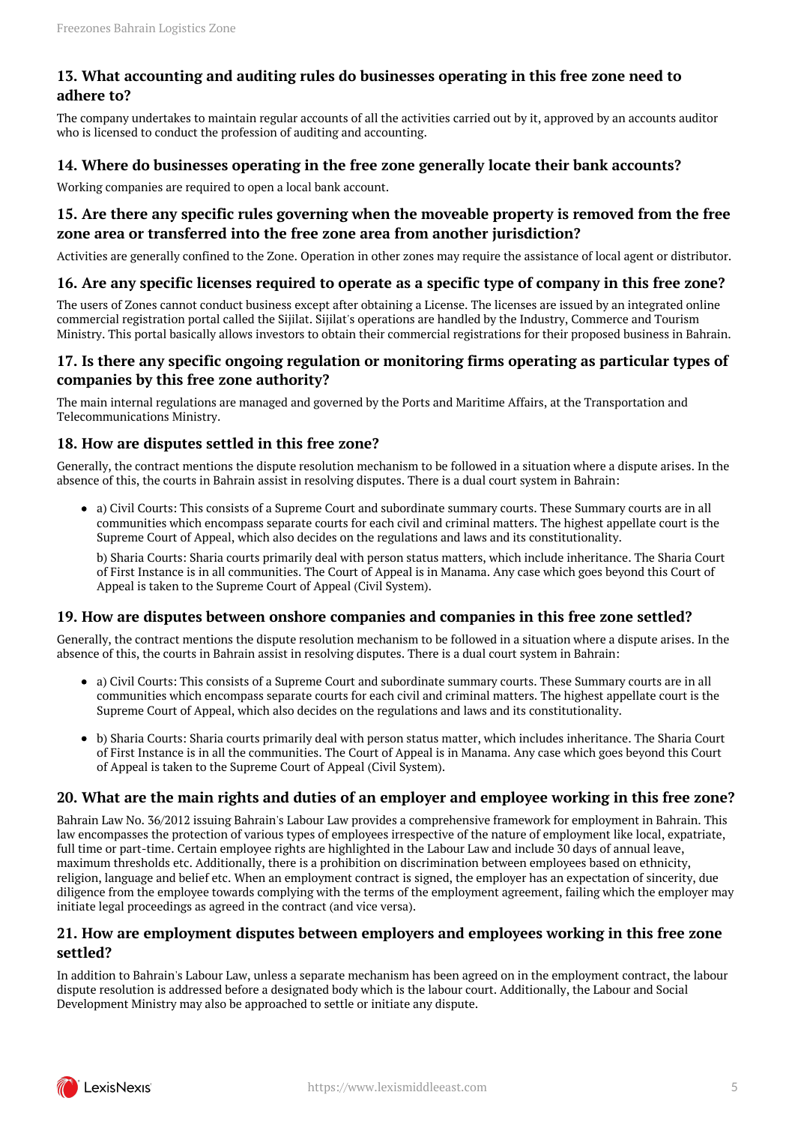#### <span id="page-4-0"></span>**13. What accounting and auditing rules do businesses operating in this free zone need to adhere to?**

The company undertakes to maintain regular accounts of all the activities carried out by it, approved by an accounts auditor who is licensed to conduct the profession of auditing and accounting.

#### <span id="page-4-1"></span>**14. Where do businesses operating in the free zone generally locate their bank accounts?**

Working companies are required to open a local bank account.

#### <span id="page-4-2"></span>**15. Are there any specific rules governing when the moveable property is removed from the free zone area or transferred into the free zone area from another jurisdiction?**

Activities are generally confined to the Zone. Operation in other zones may require the assistance of local agent or distributor.

#### <span id="page-4-3"></span>**16. Are any specific licenses required to operate as a specific type of company in this free zone?**

The users of Zones cannot conduct business except after obtaining a License. The licenses are issued by an integrated online commercial registration portal called the Sijilat. Sijilat's operations are handled by the Industry, Commerce and Tourism Ministry. This portal basically allows investors to obtain their commercial registrations for their proposed business in Bahrain.

#### <span id="page-4-4"></span>**17. Is there any specific ongoing regulation or monitoring firms operating as particular types of companies by this free zone authority?**

The main internal regulations are managed and governed by the Ports and Maritime Affairs, at the Transportation and Telecommunications Ministry.

#### <span id="page-4-5"></span>**18. How are disputes settled in this free zone?**

Generally, the contract mentions the dispute resolution mechanism to be followed in a situation where a dispute arises. In the absence of this, the courts in Bahrain assist in resolving disputes. There is a dual court system in Bahrain:

a) Civil Courts: This consists of a Supreme Court and subordinate summary courts. These Summary courts are in all communities which encompass separate courts for each civil and criminal matters. The highest appellate court is the Supreme Court of Appeal, which also decides on the regulations and laws and its constitutionality.

b) Sharia Courts: Sharia courts primarily deal with person status matters, which include inheritance. The Sharia Court of First Instance is in all communities. The Court of Appeal is in Manama. Any case which goes beyond this Court of Appeal is taken to the Supreme Court of Appeal (Civil System).

#### <span id="page-4-6"></span>**19. How are disputes between onshore companies and companies in this free zone settled?**

Generally, the contract mentions the dispute resolution mechanism to be followed in a situation where a dispute arises. In the absence of this, the courts in Bahrain assist in resolving disputes. There is a dual court system in Bahrain:

- a) Civil Courts: This consists of a Supreme Court and subordinate summary courts. These Summary courts are in all communities which encompass separate courts for each civil and criminal matters. The highest appellate court is the Supreme Court of Appeal, which also decides on the regulations and laws and its constitutionality.
- b) Sharia Courts: Sharia courts primarily deal with person status matter, which includes inheritance. The Sharia Court of First Instance is in all the communities. The Court of Appeal is in Manama. Any case which goes beyond this Court of Appeal is taken to the Supreme Court of Appeal (Civil System).

#### <span id="page-4-7"></span>**20. What are the main rights and duties of an employer and employee working in this free zone?**

Bahrain Law No. 36/2012 issuing Bahrain's Labour Law provides a comprehensive framework for employment in Bahrain. This law encompasses the protection of various types of employees irrespective of the nature of employment like local, expatriate, full time or part-time. Certain employee rights are highlighted in the Labour Law and include 30 days of annual leave, maximum thresholds etc. Additionally, there is a prohibition on discrimination between employees based on ethnicity, religion, language and belief etc. When an employment contract is signed, the employer has an expectation of sincerity, due diligence from the employee towards complying with the terms of the employment agreement, failing which the employer may initiate legal proceedings as agreed in the contract (and vice versa).

#### <span id="page-4-8"></span>**21. How are employment disputes between employers and employees working in this free zone settled?**

In addition to Bahrain's Labour Law, unless a separate mechanism has been agreed on in the employment contract, the labour dispute resolution is addressed before a designated body which is the labour court. Additionally, the Labour and Social Development Ministry may also be approached to settle or initiate any dispute.

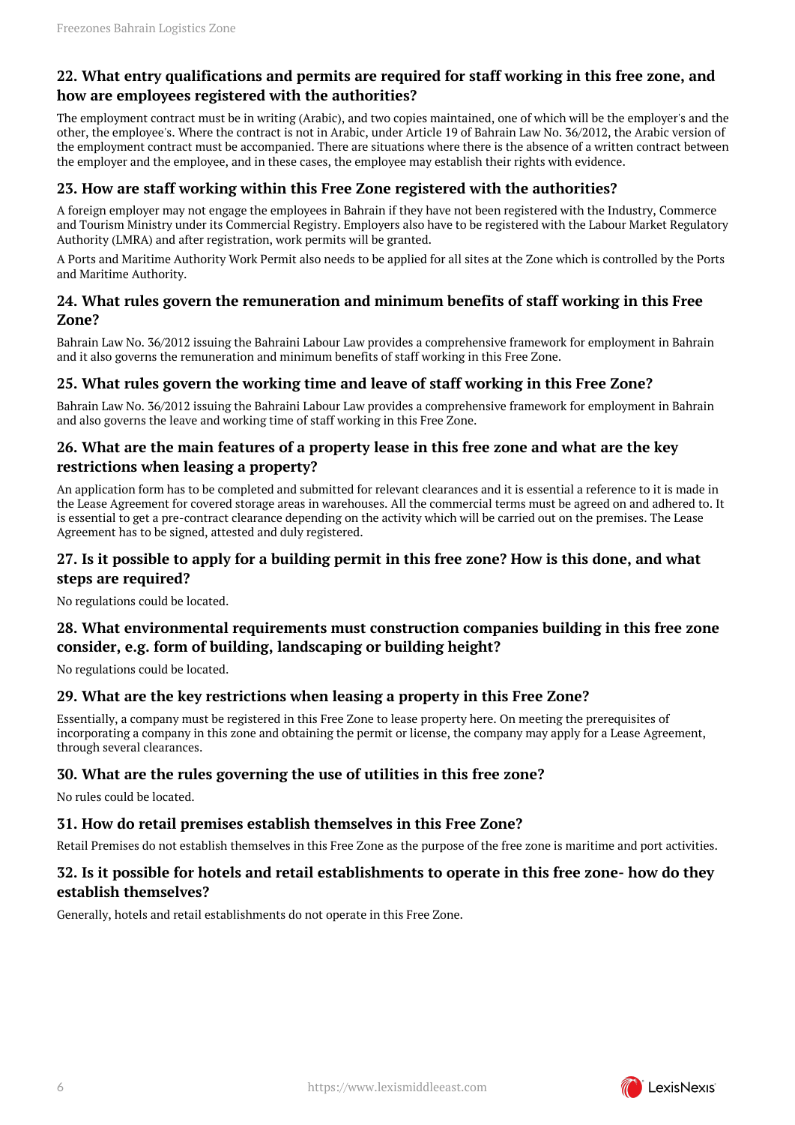#### <span id="page-5-0"></span>**22. What entry qualifications and permits are required for staff working in this free zone, and how are employees registered with the authorities?**

The employment contract must be in writing (Arabic), and two copies maintained, one of which will be the employer's and the other, the employee's. Where the contract is not in Arabic, under Article 19 of Bahrain Law No. 36/2012, the Arabic version of the employment contract must be accompanied. There are situations where there is the absence of a written contract between the employer and the employee, and in these cases, the employee may establish their rights with evidence.

#### <span id="page-5-1"></span>**23. How are staff working within this Free Zone registered with the authorities?**

A foreign employer may not engage the employees in Bahrain if they have not been registered with the Industry, Commerce and Tourism Ministry under its Commercial Registry. Employers also have to be registered with the Labour Market Regulatory Authority (LMRA) and after registration, work permits will be granted.

A Ports and Maritime Authority Work Permit also needs to be applied for all sites at the Zone which is controlled by the Ports and Maritime Authority.

#### <span id="page-5-2"></span>**24. What rules govern the remuneration and minimum benefits of staff working in this Free Zone?**

Bahrain Law No. 36/2012 issuing the Bahraini Labour Law provides a comprehensive framework for employment in Bahrain and it also governs the remuneration and minimum benefits of staff working in this Free Zone.

#### <span id="page-5-3"></span>**25. What rules govern the working time and leave of staff working in this Free Zone?**

Bahrain Law No. 36/2012 issuing the Bahraini Labour Law provides a comprehensive framework for employment in Bahrain and also governs the leave and working time of staff working in this Free Zone.

#### <span id="page-5-4"></span>**26. What are the main features of a property lease in this free zone and what are the key restrictions when leasing a property?**

An application form has to be completed and submitted for relevant clearances and it is essential a reference to it is made in the Lease Agreement for covered storage areas in warehouses. All the commercial terms must be agreed on and adhered to. It is essential to get a pre-contract clearance depending on the activity which will be carried out on the premises. The Lease Agreement has to be signed, attested and duly registered.

#### <span id="page-5-5"></span>**27. Is it possible to apply for a building permit in this free zone? How is this done, and what steps are required?**

No regulations could be located.

### <span id="page-5-6"></span>**28. What environmental requirements must construction companies building in this free zone consider, e.g. form of building, landscaping or building height?**

No regulations could be located.

#### <span id="page-5-7"></span>**29. What are the key restrictions when leasing a property in this Free Zone?**

Essentially, a company must be registered in this Free Zone to lease property here. On meeting the prerequisites of incorporating a company in this zone and obtaining the permit or license, the company may apply for a Lease Agreement, through several clearances.

#### <span id="page-5-8"></span>**30. What are the rules governing the use of utilities in this free zone?**

No rules could be located.

#### <span id="page-5-9"></span>**31. How do retail premises establish themselves in this Free Zone?**

Retail Premises do not establish themselves in this Free Zone as the purpose of the free zone is maritime and port activities.

#### <span id="page-5-10"></span>**32. Is it possible for hotels and retail establishments to operate in this free zone- how do they establish themselves?**

Generally, hotels and retail establishments do not operate in this Free Zone.

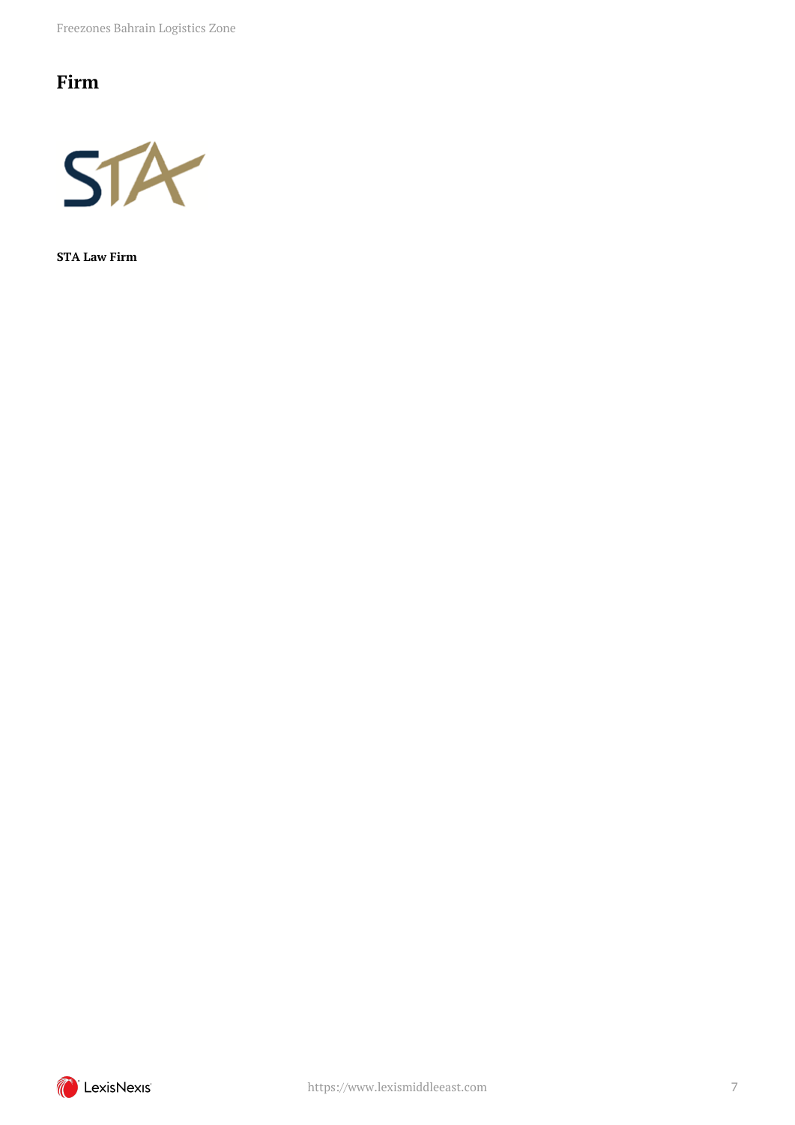Freezones Bahrain Logistics Zone

# <span id="page-6-0"></span>**Firm**



**STA Law Firm**